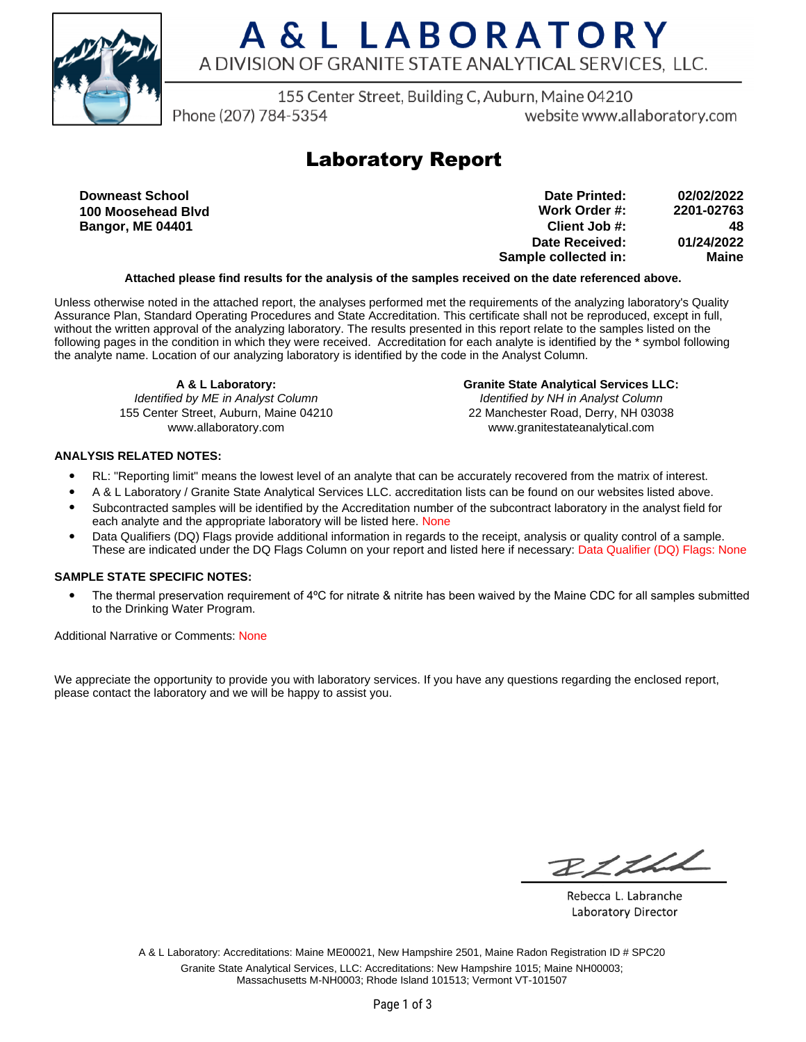

155 Center Street, Building C, Auburn, Maine 04210

Phone (207) 784-5354

website www.allaboratory.com

### **Laboratory Report**

**Downeast School 100 Moosehead Blvd Bangor, ME 04401**

**Work Order #: Client Job #: Date Received: Sample collected in: 2201-02763 48 01/24/2022 Maine Date Printed: 02/02/2022**

### **Attached please find results for the analysis of the samples received on the date referenced above.**

Unless otherwise noted in the attached report, the analyses performed met the requirements of the analyzing laboratory's Quality Assurance Plan, Standard Operating Procedures and State Accreditation. This certificate shall not be reproduced, except in full, without the written approval of the analyzing laboratory. The results presented in this report relate to the samples listed on the following pages in the condition in which they were received. Accreditation for each analyte is identified by the \* symbol following the analyte name. Location of our analyzing laboratory is identified by the code in the Analyst Column.

**A & L Laboratory:** Identified by ME in Analyst Column 155 Center Street, Auburn, Maine 04210 www.allaboratory.com

**Granite State Analytical Services LLC:** Identified by NH in Analyst Column 22 Manchester Road, Derry, NH 03038 www.granitestateanalytical.com

#### **ANALYSIS RELATED NOTES:**

- RL: "Reporting limit" means the lowest level of an analyte that can be accurately recovered from the matrix of interest.
- A & L Laboratory / Granite State Analytical Services LLC. accreditation lists can be found on our websites listed above.
- Subcontracted samples will be identified by the Accreditation number of the subcontract laboratory in the analyst field for each analyte and the appropriate laboratory will be listed here. None
- Data Qualifiers (DQ) Flags provide additional information in regards to the receipt, analysis or quality control of a sample. These are indicated under the DQ Flags Column on your report and listed here if necessary: Data Qualifier (DQ) Flags: None

#### **SAMPLE STATE SPECIFIC NOTES:**

• The thermal preservation requirement of 4°C for nitrate & nitrite has been waived by the Maine CDC for all samples submitted to the Drinking Water Program.

Additional Narrative or Comments: None

We appreciate the opportunity to provide you with laboratory services. If you have any questions regarding the enclosed report, please contact the laboratory and we will be happy to assist you.

RICHL

Rebecca L. Labranche Laboratory Director

A & L Laboratory: Accreditations: Maine ME00021, New Hampshire 2501, Maine Radon Registration ID # SPC20 Granite State Analytical Services, LLC: Accreditations: New Hampshire 1015; Maine NH00003; Massachusetts M-NH0003; Rhode Island 101513; Vermont VT-101507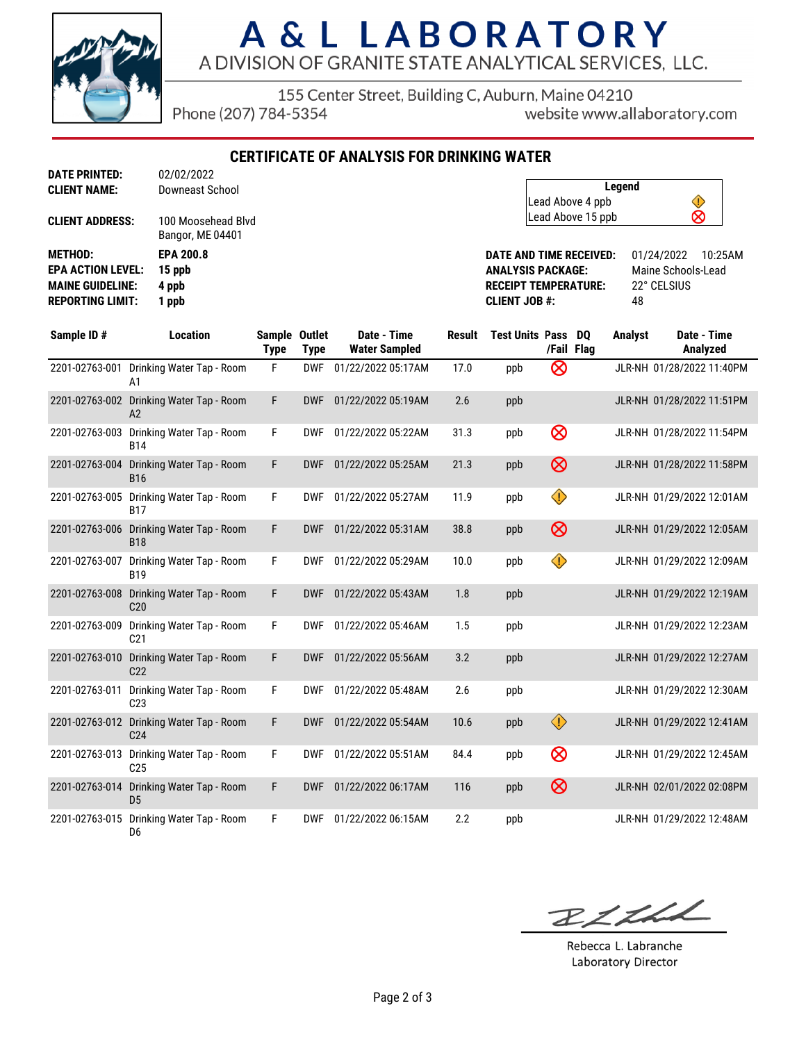

155 Center Street, Building C, Auburn, Maine 04210

Phone (207) 784-5354

website www.allaboratory.com

**CERTIFICATE OF ANALYSIS FOR DRINKING WATER**

| <b>DATE PRINTED:</b>     | 02/02/2022                             |
|--------------------------|----------------------------------------|
| <b>CLIENT NAME:</b>      | Downeast School                        |
| <b>CLIENT ADDRESS:</b>   | 100 Moosehead Blvd<br>Bangor, ME 04401 |
| <b>METHOD:</b>           | <b>EPA 200.8</b>                       |
| <b>EPA ACTION LEVEL:</b> | 15 ppb                                 |
| <b>MAINE GUIDELINE:</b>  | 4 ppb                                  |
| <b>REPORTING LIMIT:</b>  | 1 ppb                                  |

| Legend                 |  |
|------------------------|--|
| Lead Above 4 ppb       |  |
| ⊗<br>Lead Above 15 ppb |  |

**DATE AND TIME RECEIVED:** 01/24/2022 10:25AM **ANALYSIS PACKAGE:** Maine Schools-Lead **RECEIPT TEMPERATURE:** 22° CELSIUS **CLIENT JOB #:** 48

| Sample ID#     | <b>Location</b>                              | Sample Outlet<br><b>Type</b> | <b>Type</b> | Date - Time<br><b>Water Sampled</b> | Result | <b>Test Units Pass</b> | /Fail Flag | DQ | <b>Analyst</b> | Date - Time<br>Analyzed   |
|----------------|----------------------------------------------|------------------------------|-------------|-------------------------------------|--------|------------------------|------------|----|----------------|---------------------------|
| 2201-02763-001 | Drinking Water Tap - Room<br>A1              | F                            | <b>DWF</b>  | 01/22/2022 05:17AM                  | 17.0   | ppb                    | ⊗          |    |                | JLR-NH 01/28/2022 11:40PM |
| 2201-02763-002 | Drinking Water Tap - Room<br>A2              | F                            | <b>DWF</b>  | 01/22/2022 05:19AM                  | 2.6    | ppb                    |            |    |                | JLR-NH 01/28/2022 11:51PM |
| 2201-02763-003 | Drinking Water Tap - Room<br><b>B14</b>      | F                            | <b>DWF</b>  | 01/22/2022 05:22AM                  | 31.3   | ppb                    | ⊗          |    |                | JLR-NH 01/28/2022 11:54PM |
| 2201-02763-004 | Drinking Water Tap - Room<br><b>B16</b>      | F                            | <b>DWF</b>  | 01/22/2022 05:25AM                  | 21.3   | ppb                    | $\otimes$  |    |                | JLR-NH 01/28/2022 11:58PM |
| 2201-02763-005 | Drinking Water Tap - Room<br><b>B17</b>      | F                            | <b>DWF</b>  | 01/22/2022 05:27AM                  | 11.9   | ppb                    | ♦          |    |                | JLR-NH 01/29/2022 12:01AM |
| 2201-02763-006 | Drinking Water Tap - Room<br><b>B18</b>      | F                            | <b>DWF</b>  | 01/22/2022 05:31AM                  | 38.8   | ppb                    | $\otimes$  |    |                | JLR-NH 01/29/2022 12:05AM |
| 2201-02763-007 | Drinking Water Tap - Room<br><b>B19</b>      | F                            | <b>DWF</b>  | 01/22/2022 05:29AM                  | 10.0   | ppb                    | ♦          |    |                | JLR-NH 01/29/2022 12:09AM |
| 2201-02763-008 | Drinking Water Tap - Room<br>C <sub>20</sub> | F                            | <b>DWF</b>  | 01/22/2022 05:43AM                  | 1.8    | ppb                    |            |    |                | JLR-NH 01/29/2022 12:19AM |
| 2201-02763-009 | Drinking Water Tap - Room<br>C <sub>21</sub> | F                            | <b>DWF</b>  | 01/22/2022 05:46AM                  | 1.5    | ppb                    |            |    |                | JLR-NH 01/29/2022 12:23AM |
| 2201-02763-010 | Drinking Water Tap - Room<br>C <sub>22</sub> | F                            | <b>DWF</b>  | 01/22/2022 05:56AM                  | 3.2    | ppb                    |            |    |                | JLR-NH 01/29/2022 12:27AM |
| 2201-02763-011 | Drinking Water Tap - Room<br>C <sub>23</sub> | F                            | <b>DWF</b>  | 01/22/2022 05:48AM                  | 2.6    | ppb                    |            |    |                | JLR-NH 01/29/2022 12:30AM |
| 2201-02763-012 | Drinking Water Tap - Room<br>C <sub>24</sub> | F                            | <b>DWF</b>  | 01/22/2022 05:54AM                  | 10.6   | ppb                    | $\bigcirc$ |    |                | JLR-NH 01/29/2022 12:41AM |
| 2201-02763-013 | Drinking Water Tap - Room<br>C <sub>25</sub> | F                            | <b>DWF</b>  | 01/22/2022 05:51AM                  | 84.4   | ppb                    | $\otimes$  |    |                | JLR-NH 01/29/2022 12:45AM |
| 2201-02763-014 | Drinking Water Tap - Room<br>D <sub>5</sub>  | F                            | <b>DWF</b>  | 01/22/2022 06:17AM                  | 116    | ppb                    | $\otimes$  |    |                | JLR-NH 02/01/2022 02:08PM |
| 2201-02763-015 | Drinking Water Tap - Room<br>D6              | F                            | <b>DWF</b>  | 01/22/2022 06:15AM                  | 2.2    | ppb                    |            |    |                | JLR-NH 01/29/2022 12:48AM |

BLLLL

Rebecca L. Labranche Laboratory Director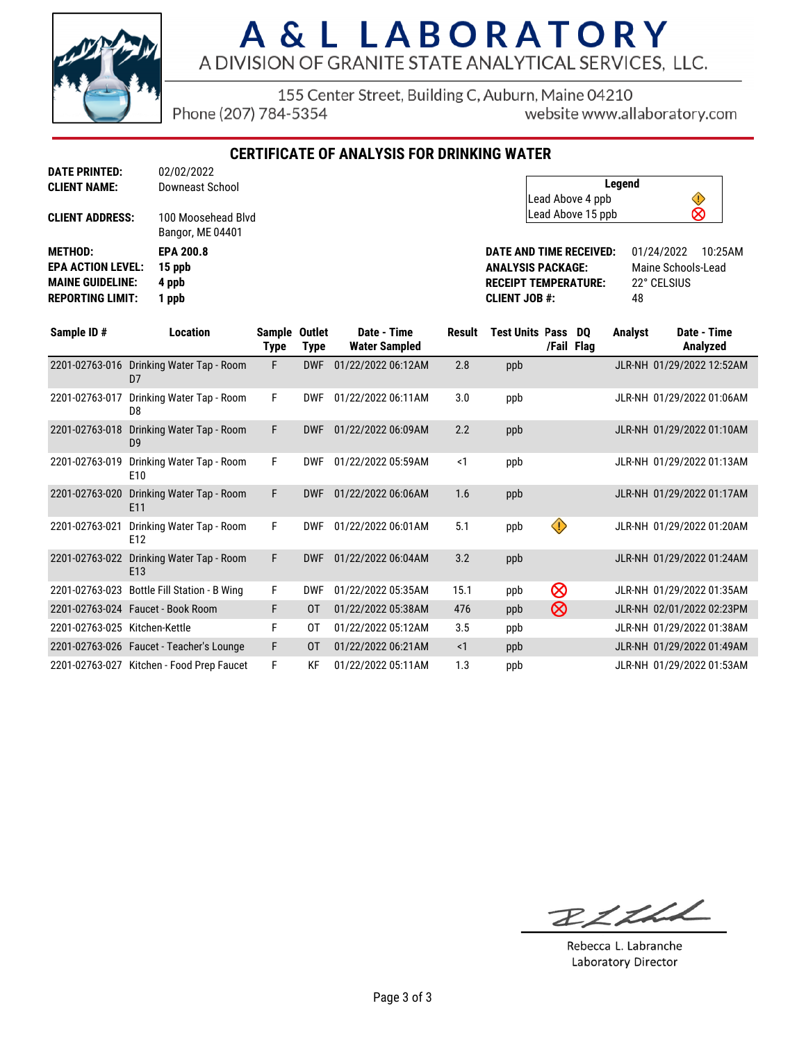

155 Center Street, Building C, Auburn, Maine 04210

Phone (207) 784-5354

website www.allaboratory.com

**CERTIFICATE OF ANALYSIS FOR DRINKING WATER**

| <b>DATE PRINTED:</b>     | 02/02/2022                             |
|--------------------------|----------------------------------------|
| <b>CLIENT NAME:</b>      | Downeast School                        |
| <b>CLIENT ADDRESS:</b>   | 100 Moosehead Blvd<br>Bangor, ME 04401 |
| <b>METHOD:</b>           | <b>EPA 200.8</b>                       |
| <b>EPA ACTION LEVEL:</b> | 15 ppb                                 |
| <b>MAINE GUIDELINE:</b>  | 4 ppb                                  |
| <b>REPORTING LIMIT:</b>  | 1 ppb                                  |

| Legend            |   |  |
|-------------------|---|--|
| Lead Above 4 ppb  |   |  |
| Lead Above 15 ppb | ⊗ |  |

**DATE AND TIME RECEIVED:** 01/24/2022 10:25AM **ANALYSIS PACKAGE:** Maine Schools-Lead<br> **RECEIPT TEMPERATURE:** 22° CELSIUS **RECEIPT TEMPERATURE: CLIENT JOB #:** 48

| Sample ID#                    | <b>Location</b>                              | Sample Outlet<br>Type | <b>Type</b> | Date - Time<br><b>Water Sampled</b> | Result   | <b>Test Units Pass</b> | /Fail Flag              | DO. | <b>Analyst</b> | Date - Time<br>Analyzed   |
|-------------------------------|----------------------------------------------|-----------------------|-------------|-------------------------------------|----------|------------------------|-------------------------|-----|----------------|---------------------------|
| 2201-02763-016                | Drinking Water Tap - Room<br>D <sub>7</sub>  | F                     | <b>DWF</b>  | 01/22/2022 06:12AM                  | 2.8      | ppb                    |                         |     |                | JLR-NH 01/29/2022 12:52AM |
| 2201-02763-017                | Drinking Water Tap - Room<br>D8              | F.                    | <b>DWF</b>  | 01/22/2022 06:11AM                  | 3.0      | ppb                    |                         |     |                | JLR-NH 01/29/2022 01:06AM |
| 2201-02763-018                | Drinking Water Tap - Room<br>D <sub>9</sub>  | F                     | <b>DWF</b>  | 01/22/2022 06:09AM                  | 2.2      | ppb                    |                         |     |                | JLR-NH 01/29/2022 01:10AM |
| 2201-02763-019                | Drinking Water Tap - Room<br>E <sub>10</sub> | F.                    | <b>DWF</b>  | 01/22/2022 05:59AM                  | $\leq$ 1 | ppb                    |                         |     |                | JLR-NH 01/29/2022 01:13AM |
| 2201-02763-020                | Drinking Water Tap - Room<br>E11             | F                     | <b>DWF</b>  | 01/22/2022 06:06AM                  | 1.6      | ppb                    |                         |     |                | JLR-NH 01/29/2022 01:17AM |
| 2201-02763-021                | Drinking Water Tap - Room<br>E12             | F.                    | <b>DWF</b>  | 01/22/2022 06:01AM                  | 5.1      | ppb                    | $\langle \cdot \rangle$ |     |                | JLR-NH 01/29/2022 01:20AM |
| 2201-02763-022                | Drinking Water Tap - Room<br>E <sub>13</sub> | F                     | <b>DWF</b>  | 01/22/2022 06:04AM                  | 3.2      | ppb                    |                         |     |                | JLR-NH 01/29/2022 01:24AM |
| 2201-02763-023                | Bottle Fill Station - B Wing                 | F.                    | <b>DWF</b>  | 01/22/2022 05:35AM                  | 15.1     | ppb                    | ⊗                       |     |                | JLR-NH 01/29/2022 01:35AM |
|                               | 2201-02763-024 Faucet - Book Room            | F                     | 0T          | 01/22/2022 05:38AM                  | 476      | ppb                    | ⊗                       |     |                | JLR-NH 02/01/2022 02:23PM |
| 2201-02763-025 Kitchen-Kettle |                                              | F                     | 0T          | 01/22/2022 05:12AM                  | 3.5      | ppb                    |                         |     |                | JLR-NH 01/29/2022 01:38AM |
|                               | 2201-02763-026 Faucet - Teacher's Lounge     | F                     | 0T          | 01/22/2022 06:21AM                  | $\leq$ 1 | ppb                    |                         |     |                | JLR-NH 01/29/2022 01:49AM |
|                               | 2201-02763-027 Kitchen - Food Prep Faucet    | F                     | ΚF          | 01/22/2022 05:11AM                  | 1.3      | ppb                    |                         |     |                | JLR-NH 01/29/2022 01:53AM |

RICHA

Rebecca L. Labranche Laboratory Director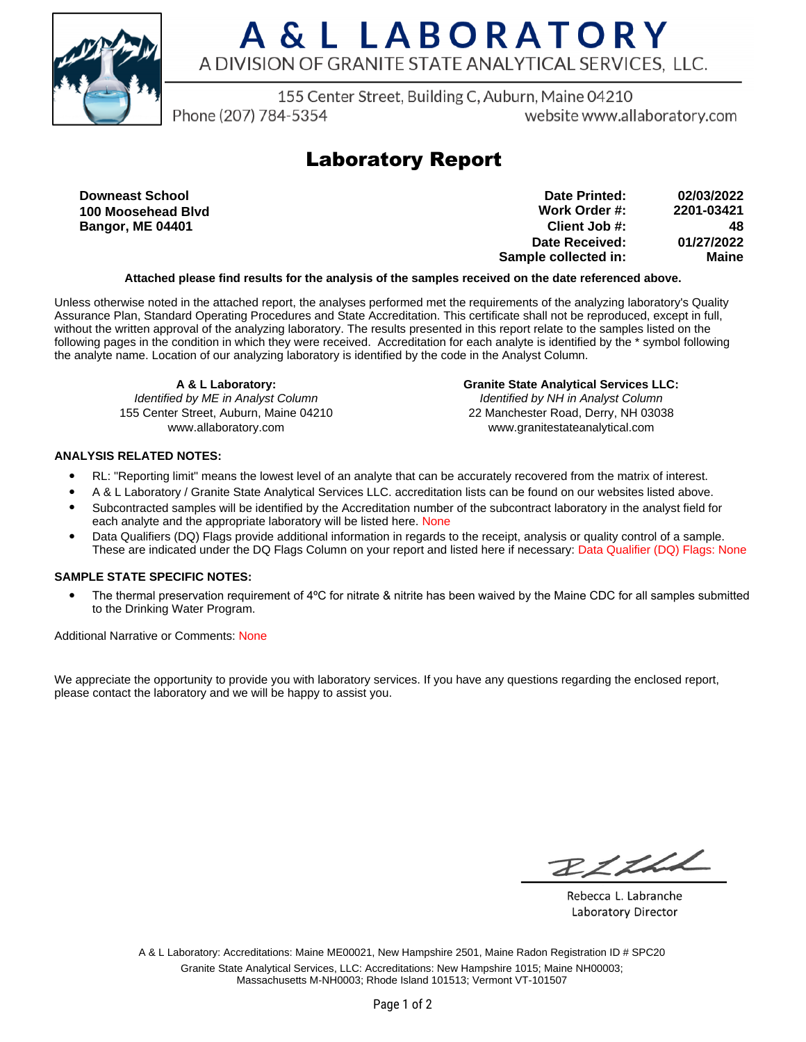

155 Center Street, Building C, Auburn, Maine 04210

Phone (207) 784-5354

website www.allaboratory.com

### **Laboratory Report**

**Downeast School 100 Moosehead Blvd Bangor, ME 04401**

**Work Order #: Client Job #: Date Received: Sample collected in: 2201-03421 48 01/27/2022 Maine Date Printed: 02/03/2022**

### **Attached please find results for the analysis of the samples received on the date referenced above.**

Unless otherwise noted in the attached report, the analyses performed met the requirements of the analyzing laboratory's Quality Assurance Plan, Standard Operating Procedures and State Accreditation. This certificate shall not be reproduced, except in full, without the written approval of the analyzing laboratory. The results presented in this report relate to the samples listed on the following pages in the condition in which they were received. Accreditation for each analyte is identified by the \* symbol following the analyte name. Location of our analyzing laboratory is identified by the code in the Analyst Column.

**A & L Laboratory:** Identified by ME in Analyst Column 155 Center Street, Auburn, Maine 04210 www.allaboratory.com

**Granite State Analytical Services LLC:** Identified by NH in Analyst Column 22 Manchester Road, Derry, NH 03038 www.granitestateanalytical.com

### **ANALYSIS RELATED NOTES:**

- RL: "Reporting limit" means the lowest level of an analyte that can be accurately recovered from the matrix of interest.
- A & L Laboratory / Granite State Analytical Services LLC. accreditation lists can be found on our websites listed above.
- Subcontracted samples will be identified by the Accreditation number of the subcontract laboratory in the analyst field for each analyte and the appropriate laboratory will be listed here. None
- Data Qualifiers (DQ) Flags provide additional information in regards to the receipt, analysis or quality control of a sample. These are indicated under the DQ Flags Column on your report and listed here if necessary: Data Qualifier (DQ) Flags: None

#### **SAMPLE STATE SPECIFIC NOTES:**

• The thermal preservation requirement of 4°C for nitrate & nitrite has been waived by the Maine CDC for all samples submitted to the Drinking Water Program.

Additional Narrative or Comments: None

We appreciate the opportunity to provide you with laboratory services. If you have any questions regarding the enclosed report, please contact the laboratory and we will be happy to assist you.

RICHL

Rebecca L. Labranche Laboratory Director

A & L Laboratory: Accreditations: Maine ME00021, New Hampshire 2501, Maine Radon Registration ID # SPC20 Granite State Analytical Services, LLC: Accreditations: New Hampshire 1015; Maine NH00003; Massachusetts M-NH0003; Rhode Island 101513; Vermont VT-101507